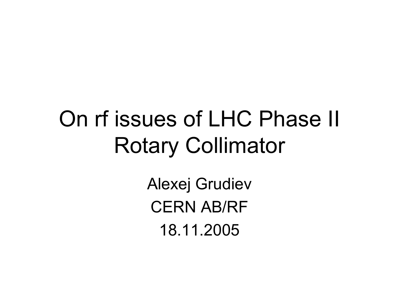## On rf issues of LHC Phase II Rotary Collimator

Alexej Grudiev CERN AB/RF18.11.2005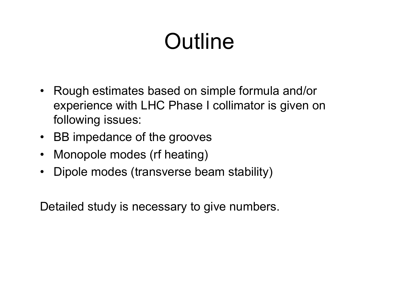## **Outline**

- Rough estimates based on simple formula and/or experience with LHC Phase I collimator is given on following issues:
- BB impedance of the grooves
- •Monopole modes (rf heating)
- $\bullet$ Dipole modes (transverse beam stability)

Detailed study is necessary to give numbers.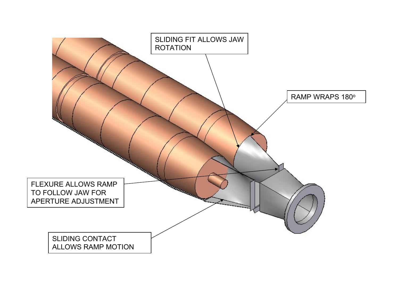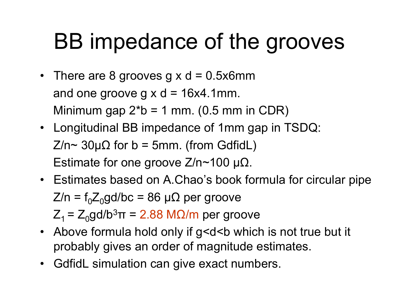## BB impedance of the grooves

- There are 8 grooves g x d = 0.5x6mm and one groove g  $\times$  d = 16x4.1mm. Minimum gap  $2 * b = 1$  mm. (0.5 mm in CDR)
- Longitudinal BB impedance of 1mm gap in TSDQ: Z/n~  $30μΩ$  for b = 5mm. (from GdfidL) Estimate for one groove  $Z/n \sim 100 \mu\Omega$ .
- Estimates based on A.Chao's book formula for circular pipe Z/n = f $_{0}$ Z $_{0}$ gd/bc = 86 μΩ per groove Z<sub>1</sub> = Z<sub>0</sub>gd/b $^3$ π = 2.88 MΩ/m per groove
- Above formula hold only if g<d<b which is not true but it probably gives an order of magnitude estimates.
- •GdfidL simulation can give exact numbers.